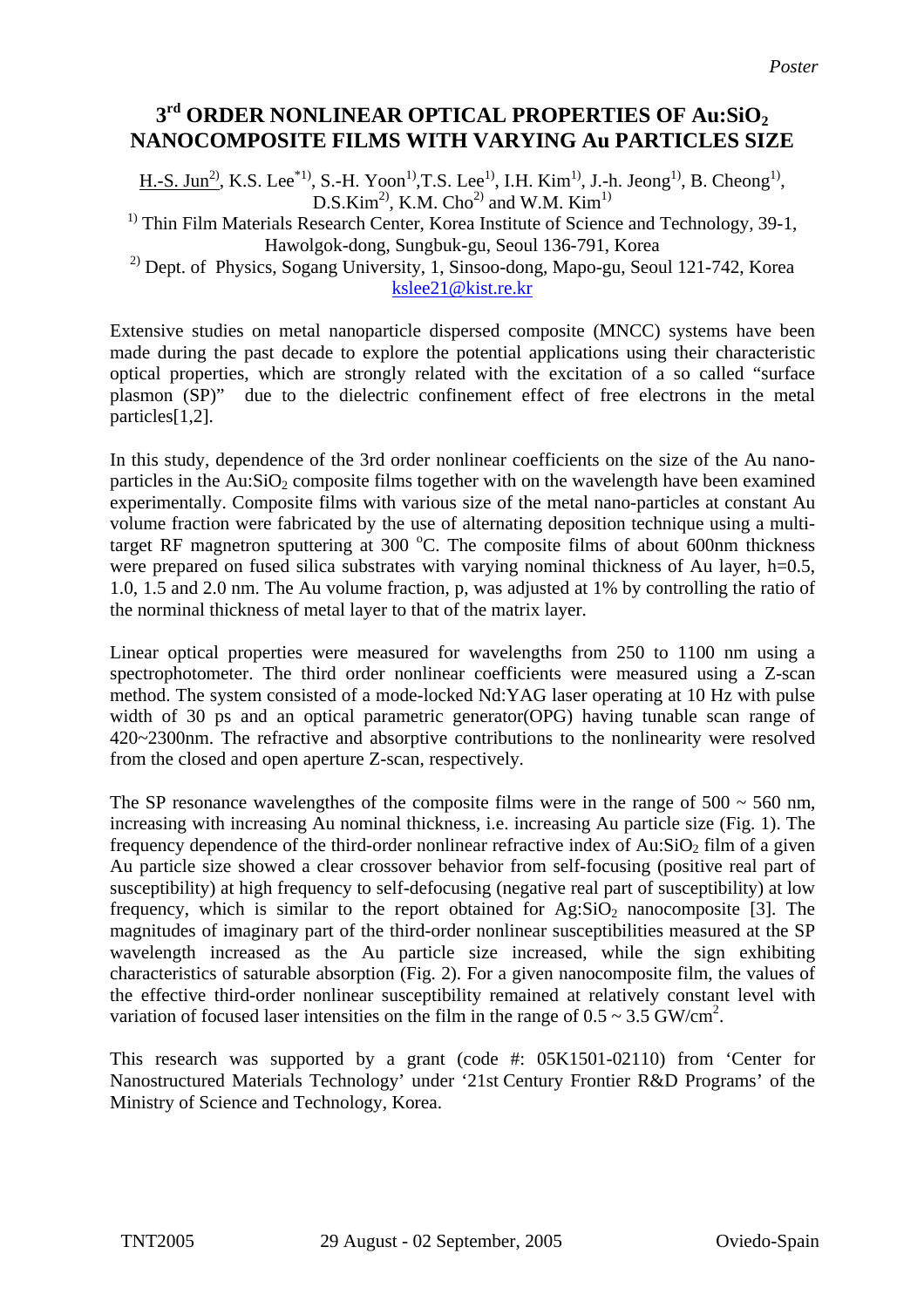## **3rd ORDER NONLINEAR OPTICAL PROPERTIES OF Au:SiO2 NANOCOMPOSITE FILMS WITH VARYING Au PARTICLES SIZE**

H.-S. Jun<sup>2</sup>, K.S. Lee<sup>\*1</sup>, S.-H. Yoon<sup>1</sup>,T.S. Lee<sup>1</sup>, I.H. Kim<sup>1</sup>, J.-h. Jeong<sup>1</sup>, B. Cheong<sup>1</sup>, D.S.Kim<sup>2)</sup>, K.M. Cho<sup>2)</sup> and W.M. Kim<sup>1)</sup>

 $<sup>1)</sup>$  Thin Film Materials Research Center, Korea Institute of Science and Technology, 39-1,</sup> Hawolgok-dong, Sungbuk-gu, Seoul 136-791, Korea

2) Dept. of Physics, Sogang University, 1, Sinsoo-dong, Mapo-gu, Seoul 121-742, Korea [kslee21@kist.re.kr](mailto:kslee21@kist.re.kr)

Extensive studies on metal nanoparticle dispersed composite (MNCC) systems have been made during the past decade to explore the potential applications using their characteristic optical properties, which are strongly related with the excitation of a so called "surface plasmon (SP)" due to the dielectric confinement effect of free electrons in the metal particles[1,2].

In this study, dependence of the 3rd order nonlinear coefficients on the size of the Au nanoparticles in the Au: $SiO<sub>2</sub>$  composite films together with on the wavelength have been examined experimentally. Composite films with various size of the metal nano-particles at constant Au volume fraction were fabricated by the use of alternating deposition technique using a multitarget RF magnetron sputtering at 300  $^{\circ}$ C. The composite films of about 600nm thickness were prepared on fused silica substrates with varying nominal thickness of Au layer, h=0.5, 1.0, 1.5 and 2.0 nm. The Au volume fraction, p, was adjusted at 1% by controlling the ratio of the norminal thickness of metal layer to that of the matrix layer.

Linear optical properties were measured for wavelengths from 250 to 1100 nm using a spectrophotometer. The third order nonlinear coefficients were measured using a Z-scan method. The system consisted of a mode-locked Nd:YAG laser operating at 10 Hz with pulse width of 30 ps and an optical parametric generator(OPG) having tunable scan range of 420~2300nm. The refractive and absorptive contributions to the nonlinearity were resolved from the closed and open aperture Z-scan, respectively.

The SP resonance wavelengthes of the composite films were in the range of  $500 \sim 560$  nm, increasing with increasing Au nominal thickness, i.e. increasing Au particle size (Fig. 1). The frequency dependence of the third-order nonlinear refractive index of Au: $SiO<sub>2</sub>$  film of a given Au particle size showed a clear crossover behavior from self-focusing (positive real part of susceptibility) at high frequency to self-defocusing (negative real part of susceptibility) at low frequency, which is similar to the report obtained for  $Ag:SiO<sub>2</sub>$  nanocomposite [3]. The magnitudes of imaginary part of the third-order nonlinear susceptibilities measured at the SP wavelength increased as the Au particle size increased, while the sign exhibiting characteristics of saturable absorption (Fig. 2). For a given nanocomposite film, the values of the effective third-order nonlinear susceptibility remained at relatively constant level with variation of focused laser intensities on the film in the range of  $0.5 \sim 3.5$  GW/cm<sup>2</sup>.

This research was supported by a grant (code #: 05K1501-02110) from 'Center for Nanostructured Materials Technology' under '21st Century Frontier R&D Programs' of the Ministry of Science and Technology, Korea.